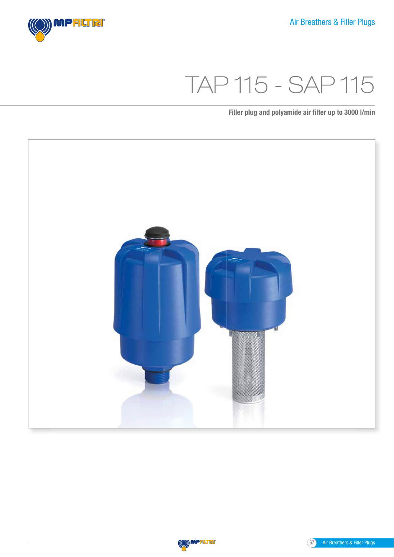

# TAP 115 - SAP 115

Filler plug and polyamide air filter up to 3000 l/min





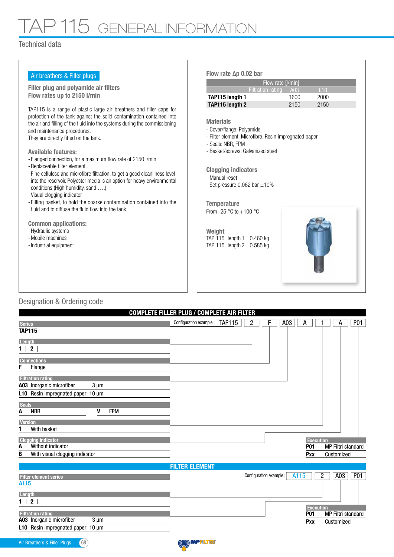### P 115 GENERAL INFORMATION

#### Technical data

| Air breathers & Filler plugs                                                                                                                                                                                                                                                                                                                                                                                                                                                                                                                                                                                                                                                                                                                                                                                                                                                                        | Flow rate $\Delta p$ 0.02 bar                                                                                                                                                                                                                                                                                                                                                                        |             |      |  |
|-----------------------------------------------------------------------------------------------------------------------------------------------------------------------------------------------------------------------------------------------------------------------------------------------------------------------------------------------------------------------------------------------------------------------------------------------------------------------------------------------------------------------------------------------------------------------------------------------------------------------------------------------------------------------------------------------------------------------------------------------------------------------------------------------------------------------------------------------------------------------------------------------------|------------------------------------------------------------------------------------------------------------------------------------------------------------------------------------------------------------------------------------------------------------------------------------------------------------------------------------------------------------------------------------------------------|-------------|------|--|
| Filler plug and polyamide air filters                                                                                                                                                                                                                                                                                                                                                                                                                                                                                                                                                                                                                                                                                                                                                                                                                                                               | Flow rate [I/min]<br><b>Filtration rating</b><br>110                                                                                                                                                                                                                                                                                                                                                 |             |      |  |
| Flow rates up to 2150 I/min                                                                                                                                                                                                                                                                                                                                                                                                                                                                                                                                                                                                                                                                                                                                                                                                                                                                         | TAP115 length 1                                                                                                                                                                                                                                                                                                                                                                                      | A03<br>1600 | 2000 |  |
|                                                                                                                                                                                                                                                                                                                                                                                                                                                                                                                                                                                                                                                                                                                                                                                                                                                                                                     | TAP115 length 2                                                                                                                                                                                                                                                                                                                                                                                      | 2150        | 2150 |  |
| TAP115 is a range of plastic large air breathers and filler caps for<br>protection of the tank against the solid contamination contained into<br>the air and filling of the fluid into the systems during the commissioning<br>and maintenance procedures.<br>They are directly fitted on the tank.<br><b>Available features:</b><br>- Flanged connection, for a maximum flow rate of 2150 l/min<br>- Replaceable filter element.<br>- Fine cellulose and microfibre filtration, to get a good cleanliness level<br>into the reservoir. Polyester media is an option for heavy environmental<br>conditions (High humidity, sand )<br>- Visual clogging indicator<br>- Filling basket, to hold the coarse contamination contained into the<br>fluid and to diffuse the fluid flow into the tank<br><b>Common applications:</b><br>- Hydraulic systems<br>- Mobile machines<br>- Industrial equipment | <b>Materials</b><br>- Cover/flange: Polyamide<br>- Filter element: Microfibre, Resin impregnated paper<br>- Seals: NBR, FPM<br>- Basket/screws: Galvanized steel<br><b>Clogging indicators</b><br>- Manual reset<br>- Set pressure $0.062$ bar $\pm 10\%$<br><b>Temperature</b><br>From -25 $^{\circ}$ C to +100 $^{\circ}$ C<br>Weight<br>TAP 115 length 1 0.460 kg<br>TAP 115 length 2<br>0.585 kg |             |      |  |

### Designation & Ordering code

| Configuration example: TAP115<br>$\overline{c}$<br>A03<br>P <sub>01</sub><br>F<br>А<br>А<br><b>Series</b><br>$\mathbf{2}$<br>Flange<br>$3 \mu m$ |
|--------------------------------------------------------------------------------------------------------------------------------------------------|
| <b>TAP115</b>                                                                                                                                    |
| Length<br>$1 \mid$                                                                                                                               |
|                                                                                                                                                  |
| <b>Connections</b><br>F                                                                                                                          |
|                                                                                                                                                  |
| <b>Filtration rating</b><br>A03 Inorganic microfiber<br>L10 Resin impregnated paper 10 µm                                                        |
|                                                                                                                                                  |
|                                                                                                                                                  |
|                                                                                                                                                  |
|                                                                                                                                                  |
| <b>Seals</b><br><b>NBR</b><br><b>FPM</b><br>V<br>Α                                                                                               |
|                                                                                                                                                  |
| <b>Version</b><br>With basket                                                                                                                    |
|                                                                                                                                                  |
| <b>Clogging indicator</b><br><b>Execution</b><br>Without indicator<br>MP Filtri standard<br>A<br><b>P01</b>                                      |
| With visual clogging indicator<br>B<br>Customized<br>Pxx                                                                                         |
|                                                                                                                                                  |
| <b>FILTER ELEMENT</b>                                                                                                                            |
| $\overline{2}$<br>A03<br><b>P01</b><br>A115<br>Configuration example :<br><b>Filter element series</b>                                           |
| A115                                                                                                                                             |
| Length<br>$\blacksquare$                                                                                                                         |

#### Filtration rating A03 Inorganic microfiber L10 Resin impregnated paper 10 µm  $3 \mu m$ P01 Pxx Execution  $1 \mid 2 \mid$

MP Filtri standard Customized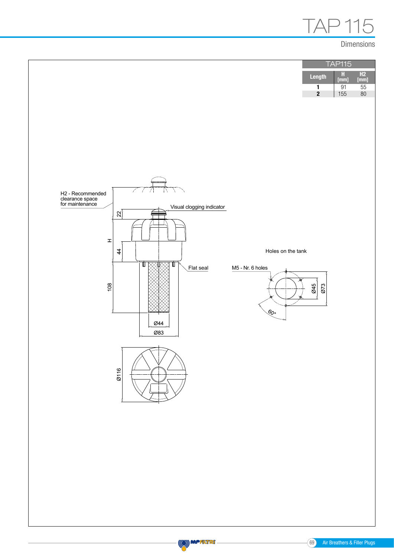

#### Dimensions





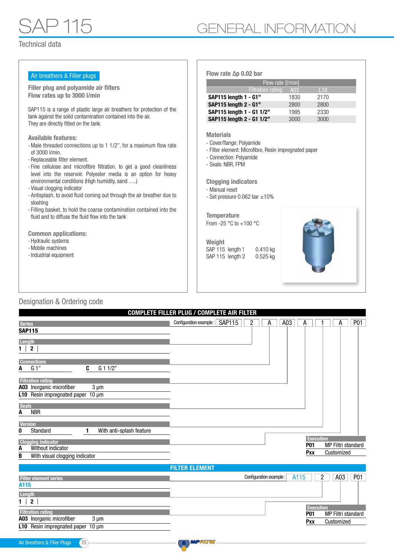| Air breathers & Filler plugs                                                                                                                                                                                                                                                                                                                                                                                                                                                                                                                                                                                                                                                                                | Flow rate $\Delta p$ 0.02 bar                                                                                                                                                                                                                                                                                                                                                                 |      |      |
|-------------------------------------------------------------------------------------------------------------------------------------------------------------------------------------------------------------------------------------------------------------------------------------------------------------------------------------------------------------------------------------------------------------------------------------------------------------------------------------------------------------------------------------------------------------------------------------------------------------------------------------------------------------------------------------------------------------|-----------------------------------------------------------------------------------------------------------------------------------------------------------------------------------------------------------------------------------------------------------------------------------------------------------------------------------------------------------------------------------------------|------|------|
|                                                                                                                                                                                                                                                                                                                                                                                                                                                                                                                                                                                                                                                                                                             | Flow rate [I/min]                                                                                                                                                                                                                                                                                                                                                                             |      |      |
| Filler plug and polyamide air filters                                                                                                                                                                                                                                                                                                                                                                                                                                                                                                                                                                                                                                                                       | <b>Filtration rating</b>                                                                                                                                                                                                                                                                                                                                                                      | A03  | L10  |
| Flow rates up to 3000 l/min                                                                                                                                                                                                                                                                                                                                                                                                                                                                                                                                                                                                                                                                                 | SAP115 length 1 - G1"                                                                                                                                                                                                                                                                                                                                                                         | 1830 | 2170 |
|                                                                                                                                                                                                                                                                                                                                                                                                                                                                                                                                                                                                                                                                                                             | SAP115 length 2 - G1"                                                                                                                                                                                                                                                                                                                                                                         | 2800 | 2800 |
| SAP115 is a range of plastic large air breathers for protection of the<br>tank against the solid contamination contained into the air.                                                                                                                                                                                                                                                                                                                                                                                                                                                                                                                                                                      | SAP115 length 1 - G1 1/2"                                                                                                                                                                                                                                                                                                                                                                     | 1995 | 2330 |
| They are directly fitted on the tank.                                                                                                                                                                                                                                                                                                                                                                                                                                                                                                                                                                                                                                                                       | SAP115 length 2 - G1 1/2"                                                                                                                                                                                                                                                                                                                                                                     | 3000 | 3000 |
| <b>Available features:</b><br>- Male threaded connections up to 1 1/2", for a maximum flow rate<br>of 3000 l/min.<br>- Replaceable filter element.<br>- Fine cellulose and microfibre filtration, to get a good cleanliness<br>level into the reservoir. Polyester media is an option for heavy<br>environmental conditions (High humidity, sand )<br>- Visual clogging indicator<br>- Antisplash, to avoid fluid coming out through the air breather due to<br>sloshing<br>- Filling basket, to hold the coarse contamination contained into the<br>fluid and to diffuse the fluid flow into the tank<br><b>Common applications:</b><br>- Hydraulic systems<br>- Mobile machines<br>- Industrial equipment | <b>Materials</b><br>- Cover/flange: Polyamide<br>- Filter element: Microfibre, Resin impregnated paper<br>- Connection: Polyamide<br>- Seals: NBR, FPM<br><b>Clogging indicators</b><br>- Manual reset<br>- Set pressure $0.062$ bar $\pm 10\%$<br><b>Temperature</b><br>From -25 $\degree$ C to +100 $\degree$ C<br>Weight<br>SAP 115 length 1<br>0.410 kg<br>SAP 115 length 2<br>$0.525$ kg |      |      |
|                                                                                                                                                                                                                                                                                                                                                                                                                                                                                                                                                                                                                                                                                                             |                                                                                                                                                                                                                                                                                                                                                                                               |      |      |

### Designation & Ordering code

|                                                                                   | <b>COMPLETE FILLER PLUG / COMPLETE AIR FILTER</b> |                |                         |      |                  |   |                           |                 |
|-----------------------------------------------------------------------------------|---------------------------------------------------|----------------|-------------------------|------|------------------|---|---------------------------|-----------------|
| <b>Series</b>                                                                     | Configuration example: SAP115                     | $\overline{c}$ | A                       | A03  | А                |   | А                         | P <sub>01</sub> |
| <b>SAP115</b>                                                                     |                                                   |                |                         |      |                  |   |                           |                 |
| Length                                                                            |                                                   |                |                         |      |                  |   |                           |                 |
| $\overline{\mathbf{2}}$<br>1                                                      |                                                   |                |                         |      |                  |   |                           |                 |
|                                                                                   |                                                   |                |                         |      |                  |   |                           |                 |
| <b>Connections</b><br>C                                                           |                                                   |                |                         |      |                  |   |                           |                 |
| G <sub>1</sub><br>G 1 1/2"<br>A                                                   |                                                   |                |                         |      |                  |   |                           |                 |
| <b>Filtration rating</b>                                                          |                                                   |                |                         |      |                  |   |                           |                 |
| A03 Inorganic microfiber<br>$3 \mu m$                                             |                                                   |                |                         |      |                  |   |                           |                 |
| L10 Resin impregnated paper 10 µm                                                 |                                                   |                |                         |      |                  |   |                           |                 |
| <b>Seals</b>                                                                      |                                                   |                |                         |      |                  |   |                           |                 |
| <b>NBR</b><br>А                                                                   |                                                   |                |                         |      |                  |   |                           |                 |
| <b>Version</b>                                                                    |                                                   |                |                         |      |                  |   |                           |                 |
| Standard<br>With anti-splash feature<br>0                                         |                                                   |                |                         |      |                  |   |                           |                 |
| <b>Clogging indicator</b>                                                         |                                                   |                |                         |      | <b>Execution</b> |   |                           |                 |
| Without indicator<br>A                                                            |                                                   |                |                         |      | <b>P01</b>       |   | MP Filtri standard        |                 |
| With visual clogging indicator<br>B                                               |                                                   |                |                         |      | Pxx              |   | Customized                |                 |
|                                                                                   | <b>FILTER ELEMENT</b>                             |                |                         |      |                  |   |                           |                 |
|                                                                                   |                                                   |                | Configuration example : | A115 |                  | 2 | A03                       | <b>P01</b>      |
| <b>Filter element series</b><br>A115                                              |                                                   |                |                         |      |                  |   |                           |                 |
| Length                                                                            |                                                   |                |                         |      |                  |   |                           |                 |
| 2                                                                                 |                                                   |                |                         |      |                  |   |                           |                 |
|                                                                                   |                                                   |                |                         |      | <b>Execution</b> |   |                           |                 |
| <b>Filtration rating</b><br>$\sim$ $\sim$ $\sim$<br>$\overline{\phantom{0}}$<br>. |                                                   |                |                         |      | <b>P01</b>       |   | <b>MP Filtri standard</b> |                 |

```
A03 Inorganic microfiber
L10 Resin impregnated paper 10 µm
                             3 µm
```
Pxx Customized